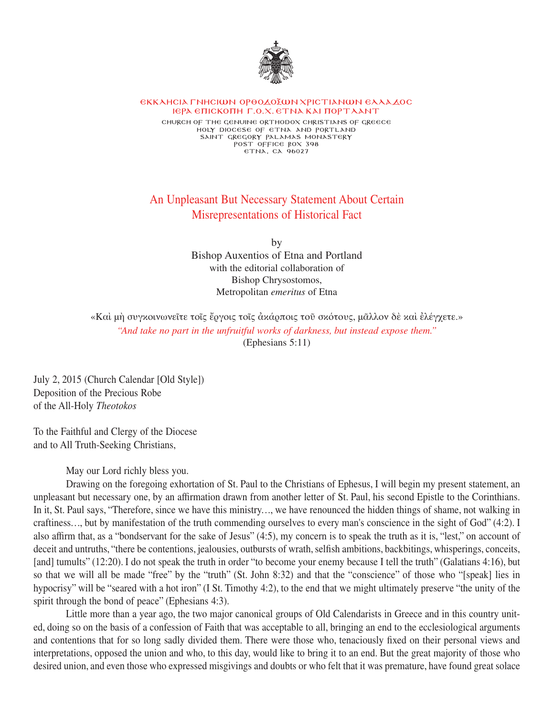

## **EKKAHCIA FNHCIWN OPOOZOŽWN XPICTIANWN EAAAZOC IEPA ETICKOTH F.O.X. ETNA KAI TOPT AANT**

**church of the genuine orthodox christians of greecE Holy diocese of Etna and portland saint gregory palamas monastery post office box 398 etna, ca 96027**

## An Unpleasant But Necessary Statement About Certain Misrepresentations of Historical Fact

by Bishop Auxentios of Etna and Portland with the editorial collaboration of Bishop Chrysostomos, Metropolitan *emeritus* of Etna

«Καὶ μὴ συγκοινωνεῖτε τοῖς ἔργοις τοῖς ἀκάρποις τοῦ σκότους, μᾶλλον δὲ καὶ ἐλέγχετε.» *"And take no part in the unfruitful works of darkness, but instead expose them."* (Ephesians 5:11)

July 2, 2015 (Church Calendar [Old Style]) Deposition of the Precious Robe of the All-Holy *Theotokos*

To the Faithful and Clergy of the Diocese and to All Truth-Seeking Christians,

May our Lord richly bless you.

Drawing on the foregoing exhortation of St. Paul to the Christians of Ephesus, I will begin my present statement, an unpleasant but necessary one, by an afrmation drawn from another letter of St. Paul, his second Epistle to the Corinthians. In it, St. Paul says, "Therefore, since we have this ministry..., we have renounced the hidden things of shame, not walking in craftiness..., but by manifestation of the truth commending ourselves to every man's conscience in the sight of God" (4:2). I also afrm that, as a "bondservant for the sake of Jesus" (4:5), my concern is to speak the truth as it is, "lest," on account of deceit and untruths, "there be contentions, jealousies, outbursts of wrath, selfish ambitions, backbitings, whisperings, conceits, [and] tumults" (12:20). I do not speak the truth in order "to become your enemy because I tell the truth" (Galatians 4:16), but so that we will all be made "free" by the "truth" (St. John 8:32) and that the "conscience" of those who "[speak] lies in hypocrisy" will be "seared with a hot iron" (I St. Timothy 4:2), to the end that we might ultimately preserve "the unity of the spirit through the bond of peace" (Ephesians 4:3).

Little more than a year ago, the two major canonical groups of Old Calendarists in Greece and in this country united, doing so on the basis of a confession of Faith that was acceptable to all, bringing an end to the ecclesiological arguments and contentions that for so long sadly divided them. There were those who, tenaciously fixed on their personal views and interpretations, opposed the union and who, to this day, would like to bring it to an end. But the great majority of those who desired union, and even those who expressed misgivings and doubts or who felt that it was premature, have found great solace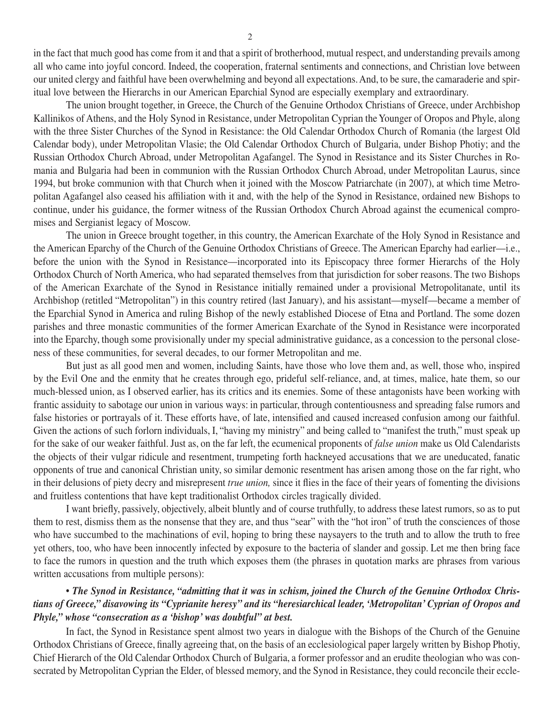in the fact that much good has come from it and that a spirit of brotherhood, mutual respect, and understanding prevails among all who came into joyful concord. Indeed, the cooperation, fraternal sentiments and connections, and Christian love between our united clergy and faithful have been overwhelming and beyond all expectations. And, to be sure, the camaraderie and spiritual love between the Hierarchs in our American Eparchial Synod are especially exemplary and extraordinary.

The union brought together, in Greece, the Church of the Genuine Orthodox Christians of Greece, under Archbishop Κallinikos of Athens, and the Holy Synod in Resistance, under Metropolitan Cyprian the Younger of Oropos and Phyle, along with the three Sister Churches of the Synod in Resistance: the Old Calendar Orthodox Church of Romania (the largest Old Calendar body), under Metropolitan Vlasie; the Old Calendar Orthodox Church of Bulgaria, under Bishop Photiy; and the Russian Orthodox Church Abroad, under Metropolitan Agafangel. The Synod in Resistance and its Sister Churches in Romania and Bulgaria had been in communion with the Russian Orthodox Church Abroad, under Metropolitan Laurus, since 1994, but broke communion with that Church when it joined with the Moscow Patriarchate (in 2007), at which time Metropolitan Agafangel also ceased his afliation with it and, with the help of the Synod in Resistance, ordained new Bishops to continue, under his guidance, the former witness of the Russian Orthodox Church Abroad against the ecumenical compromises and Sergianist legacy of Moscow.

The union in Greece brought together, in this country, the American Exarchate of the Holy Synod in Resistance and the American Eparchy of the Church of the Genuine Orthodox Christians of Greece. The American Eparchy had earlier—i.e., before the union with the Synod in Resistance—incorporated into its Episcopacy three former Hierarchs of the Holy Orthodox Church of North America, who had separated themselves from that jurisdiction for sober reasons. The two Bishops of the American Exarchate of the Synod in Resistance initially remained under a provisional Metropolitanate, until its Archbishop (retitled "Metropolitan") in this country retired (last January), and his assistant—myself—became a member of the Eparchial Synod in America and ruling Bishop of the newly established Diocese of Etna and Portland. The some dozen parishes and three monastic communities of the former American Exarchate of the Synod in Resistance were incorporated into the Eparchy, though some provisionally under my special administrative guidance, as a concession to the personal closeness of these communities, for several decades, to our former Metropolitan and me.

But just as all good men and women, including Saints, have those who love them and, as well, those who, inspired by the Evil One and the enmity that he creates through ego, prideful self-reliance, and, at times, malice, hate them, so our much-blessed union, as I observed earlier, has its critics and its enemies. Some of these antagonists have been working with frantic assiduity to sabotage our union in various ways: in particular, through contentiousness and spreading false rumors and false histories or portrayals of it. These efforts have, of late, intensified and caused increased confusion among our faithful. Given the actions of such forlorn individuals, I, "having my ministry" and being called to "manifest the truth," must speak up for the sake of our weaker faithful. Just as, on the far left, the ecumenical proponents of *false union* make us Old Calendarists the objects of their vulgar ridicule and resentment, trumpeting forth hackneyed accusations that we are uneducated, fanatic opponents of true and canonical Christian unity, so similar demonic resentment has arisen among those on the far right, who in their delusions of piety decry and misrepresent *true union*, since it flies in the face of their years of fomenting the divisions and fruitless contentions that have kept traditionalist Orthodox circles tragically divided.

I want briefly, passively, objectively, albeit bluntly and of course truthfully, to address these latest rumors, so as to put them to rest, dismiss them as the nonsense that they are, and thus "sear" with the "hot iron" of truth the consciences of those who have succumbed to the machinations of evil, hoping to bring these naysayers to the truth and to allow the truth to free yet others, too, who have been innocently infected by exposure to the bacteria of slander and gossip. Let me then bring face to face the rumors in question and the truth which exposes them (the phrases in quotation marks are phrases from various written accusations from multiple persons):

## • *The Synod in Resistance, "admitting that it was in schism, joined the Church of the Genuine Orthodox Christians of Greece," disavowing its "Cyprianite heresy" and its "heresiarchical leader, 'Metropolitan' Cyprian of Oropos and Phyle," whose "consecration as a 'bishop' was doubtful" at best.*

In fact, the Synod in Resistance spent almost two years in dialogue with the Bishops of the Church of the Genuine Orthodox Christians of Greece, finally agreeing that, on the basis of an ecclesiological paper largely written by Bishop Photiy, Chief Hierarch of the Old Calendar Orthodox Church of Bulgaria, a former professor and an erudite theologian who was consecrated by Metropolitan Cyprian the Elder, of blessed memory, and the Synod in Resistance, they could reconcile their eccle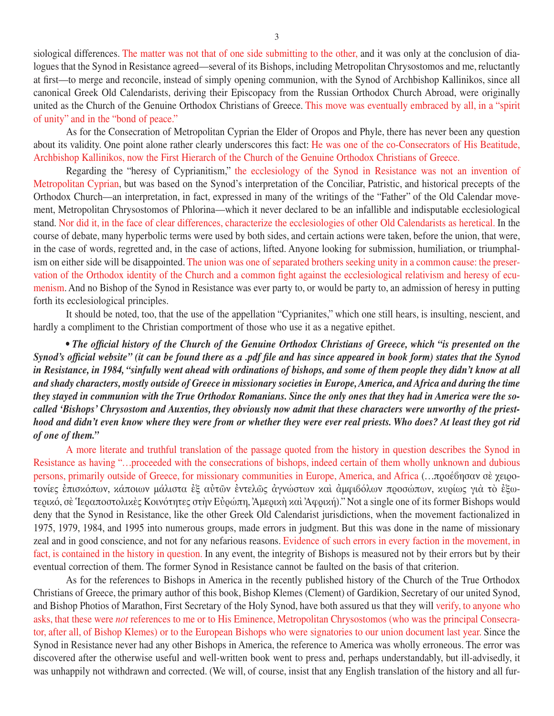siological differences. The matter was not that of one side submitting to the other, and it was only at the conclusion of dialogues that the Synod in Resistance agreed—several of its Bishops, including Metropolitan Chrysostomos and me, reluctantly at first—to merge and reconcile, instead of simply opening communion, with the Synod of Archbishop Kallinikos, since all canonical Greek Old Calendarists, deriving their Episcopacy from the Russian Orthodox Church Abroad, were originally united as the Church of the Genuine Orthodox Christians of Greece. This move was eventually embraced by all, in a "spirit of unity" and in the "bond of peace."

As for the Consecration of Metropolitan Cyprian the Elder of Oropos and Phyle, there has never been any question about its validity. One point alone rather clearly underscores this fact: He was one of the co-Consecrators of His Beatitude, Archbishop Κallinikos, now the First Hierarch of the Church of the Genuine Orthodox Christians of Greece.

Regarding the "heresy of Cyprianitism," the ecclesiology of the Synod in Resistance was not an invention of Metropolitan Cyprian, but was based on the Synod's interpretation of the Conciliar, Patristic, and historical precepts of the Orthodox Church—an interpretation, in fact, expressed in many of the writings of the "Father" of the Old Calendar movement, Metropolitan Chrysostomos of Phlorina—which it never declared to be an infallible and indisputable ecclesiological stand. Nor did it, in the face of clear differences, characterize the ecclesiologies of other Old Calendarists as heretical. In the course of debate, many hyperbolic terms were used by both sides, and certain actions were taken, before the union, that were, in the case of words, regretted and, in the case of actions, lifted. Anyone looking for submission, humiliation, or triumphalism on either side will be disappointed. The union was one of separated brothers seeking unity in a common cause: the preservation of the Orthodox identity of the Church and a common fight against the ecclesiological relativism and heresy of ecumenism. And no Bishop of the Synod in Resistance was ever party to, or would be party to, an admission of heresy in putting forth its ecclesiological principles.

It should be noted, too, that the use of the appellation "Cyprianites," which one still hears, is insulting, nescient, and hardly a compliment to the Christian comportment of those who use it as a negative epithet.

*• The official history of the Church of the Genuine Orthodox Christians of Greece, which "is presented on the Synod's official website" (it can be found there as a .pdf file and has since appeared in book form) states that the Synod in Resistance, in 1984, "sinfully went ahead with ordinations of bishops, and some of them people they didn't know at all and shady characters, mostly outside of Greece in missionary societies in Europe, America, and Africa and during the time they stayed in communion with the True Orthodox Romanians. Since the only ones that they had in America were the socalled 'Bishops' Chrysostom and Auxentios, they obviously now admit that these characters were unworthy of the priesthood and didn't even know where they were from or whether they were ever real priests. Who does? At least they got rid of one of them."*

A more literate and truthful translation of the passage quoted from the history in question describes the Synod in Resistance as having "...proceeded with the consecrations of bishops, indeed certain of them wholly unknown and dubious persons, primarily outside of Greece, for missionary communities in Europe, America, and Africa (...προέβησαν σὲ χειροτονίες ἐπισκόπων, κάποιων μάλιστα ἐξ αὐτῶν ἐντελῶς ἀγνώστων καὶ ἀμφιβόλων προσώπων, κυρίως γιὰ τὸ ἐξωτερικό, σὲ Ἱεραποστολικὲς Κοινότητες στὴν Eὐρώπη, Ἀμερικὴ καὶ Ἀφρική)." Not a single one of its former Bishops would deny that the Synod in Resistance, like the other Greek Old Calendarist jurisdictions, when the movement factionalized in 1975, 1979, 1984, and 1995 into numerous groups, made errors in judgment. But this was done in the name of missionary zeal and in good conscience, and not for any nefarious reasons. Evidence of such errors in every faction in the movement, in fact, is contained in the history in question. In any event, the integrity of Bishops is measured not by their errors but by their eventual correction of them. The former Synod in Resistance cannot be faulted on the basis of that criterion.

As for the references to Bishops in America in the recently published history of the Church of the True Orthodox Christians of Greece, the primary author of this book, Bishop Κlemes (Clement) of Gardikion, Secretary of our united Synod, and Bishop Photios of Marathon, First Secretary of the Holy Synod, have both assured us that they will verify, to anyone who asks, that these were *not* references to me or to His Eminence, Metropolitan Chrysostomos (who was the principal Consecrator, after all, of Bishop Κlemes) or to the European Bishops who were signatories to our union document last year. Since the Synod in Resistance never had any other Bishops in America, the reference to America was wholly erroneous. The error was discovered after the otherwise useful and well-written book went to press and, perhaps understandably, but ill-advisedly, it was unhappily not withdrawn and corrected. (We will, of course, insist that any English translation of the history and all fur